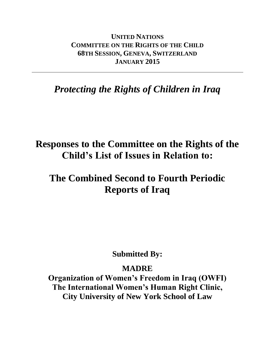**UNITED NATIONS COMMITTEE ON THE RIGHTS OF THE CHILD 68TH SESSION, GENEVA, SWITZERLAND JANUARY 2015**

# *Protecting the Rights of Children in Iraq*

# **Responses to the Committee on the Rights of the Child's List of Issues in Relation to:**

# **The Combined Second to Fourth Periodic Reports of Iraq**

# **Submitted By:**

# **MADRE**

**Organization of Women's Freedom in Iraq (OWFI) The International Women's Human Right Clinic, City University of New York School of Law**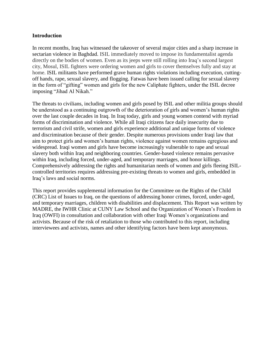#### **Introduction**

In recent months, Iraq has witnessed the takeover of several major cities and a sharp increase in sectarian violence in Baghdad. ISIL immediately moved to impose its fundamentalist agenda directly on the bodies of women. Even as its jeeps were still rolling into Iraq's second largest city, Mosul, ISIL fighters were ordering women and girls to cover themselves fully and stay at home. ISIL militants have performed grave human rights violations including execution, cuttingoff hands, rape, sexual slavery, and flogging. Fatwas have been issued calling for sexual slavery in the form of "gifting" women and girls for the new Caliphate fighters, under the ISIL decree imposing "Jihad Al Nikah."

The threats to civilians, including women and girls posed by ISIL and other militia groups should be understood as a continuing outgrowth of the deterioration of girls and women's human rights over the last couple decades in Iraq. In Iraq today, girls and young women contend with myriad forms of discrimination and violence. While all Iraqi citizens face daily insecurity due to terrorism and civil strife, women and girls experience additional and unique forms of violence and discrimination because of their gender. Despite numerous provisions under Iraqi law that aim to protect girls and women's human rights, violence against women remains egregious and widespread. Iraqi women and girls have become increasingly vulnerable to rape and sexual slavery both within Iraq and neighboring countries. Gender-based violence remains pervasive within Iraq, including forced, under-aged, and temporary marriages, and honor killings. Comprehensively addressing the rights and humanitarian needs of women and girls fleeing ISILcontrolled territories requires addressing pre-existing threats to women and girls, embedded in Iraq's laws and social norms.

This report provides supplemental information for the Committee on the Rights of the Child (CRC) List of Issues to Iraq, on the questions of addressing honor crimes, forced, under-aged, and temporary marriages, children with disabilities and displacement. This Report was written by MADRE, the IWHR Clinic at CUNY Law School and the Organization of Women's Freedom in Iraq (OWFI) in consultation and collaboration with other Iraqi Women's organizations and activists. Because of the risk of retaliation to those who contributed to this report, including interviewees and activists, names and other identifying factors have been kept anonymous.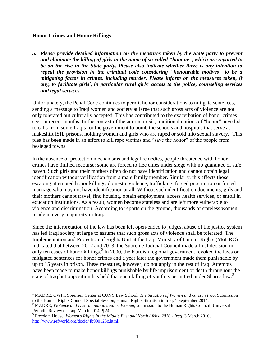### **Honor Crimes and Honor Killings**

*5. Please provide detailed information on the measures taken by the State party to prevent and eliminate the killing of girls in the name of so-called "honour", which are reported to be on the rise in the State party. Please also indicate whether there is any intention to repeal the provision in the criminal code considering "honourable motives" to be a mitigating factor in crimes, including murder. Please inform on the measures taken, if any, to facilitate girls', in particular rural girls' access to the police, counseling services and legal services.*

Unfortunately, the Penal Code continues to permit honor considerations to mitigate sentences, sending a message to Iraqi women and society at large that such gross acts of violence are not only tolerated but culturally accepted. This has contributed to the exacerbation of honor crimes seen in recent months. In the context of the current crisis, traditional notions of "honor" have led to calls from some Iraqis for the government to bomb the schools and hospitals that serve as makeshift ISIL prisons, holding women and girls who are raped or sold into sexual slavery.<sup>1</sup> This plea has been made in an effort to kill rape victims and "save the honor" of the people from besieged towns.

In the absence of protection mechanisms and legal remedies, people threatened with honor crimes have limited recourse; some are forced to flee cities under siege with no guarantee of safe haven. Such girls and their mothers often do not have identification and cannot obtain legal identification without verification from a male family member. Similarly, this affects those escaping attempted honor killings, domestic violence, trafficking, forced prostitution or forced marriage who may not have identification at all. Without such identification documents, girls and their mothers cannot travel, find housing, obtain employment, access health services, or enroll in education institutions. As a result, women become stateless and are left more vulnerable to violence and discrimination. According to reports on the ground, thousands of stateless women reside in every major city in Iraq.

Since the interpretation of the law has been left open-ended to judges, abuse of the justice system has led Iraqi society at large to assume that such gross acts of violence shall be tolerated. The Implementation and Protection of Rights Unit at the Iraqi Ministry of Human Rights (MoHRC) indicated that between 2012 and 2013, the Supreme Judicial Council made a final decision in only ten cases of honor killings.<sup>2</sup> In 2000, the Kurdish regional government revoked the laws on mitigated sentences for honor crimes and a year later the government made them punishable by up to 15 years in prison. These measures, however, do not apply in the rest of Iraq. Attempts have been made to make honor killings punishable by life imprisonment or death throughout the state of Iraq but opposition has held that such killing of youth is permitted under Shari'a law.<sup>3</sup>

 $\overline{a}$ <sup>1</sup> MADRE, OWFI, Sorensen Center at CUNY Law School, *The Situation of Women and Girls in Iraq*, Submission to the Human Rights Council Special Session, Human Rights Situation in Iraq, 1 September 2014.

<sup>2</sup> MADRE, *Violence and Discrimination against Women*, submission to the Human Rights Council, Universal Periodic Review of Iraq, March 2014, ¶ 24.

<sup>3</sup> Freedom House, *Women's Rights in the Middle East and North Africa 2010 - Iraq*, 3 March 2010, [http://www.refworld.org/docid/4b990123c.html.](http://www.refworld.org/docid/4b990123c.html )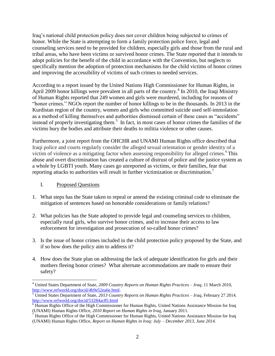Iraq's national child protection policy does not cover children being subjected to crimes of honor. While the State is attempting to form a family protection police force, legal and counseling services need to be provided for children, especially girls and those from the rural and tribal areas, who have been victims or survived honor crimes. The State reported that it intends to adopt policies for the benefit of the child in accordance with the Convention, but neglects to specifically mention the adoption of protection mechanisms for the child victims of honor crimes and improving the accessibility of victims of such crimes to needed services.

According to a report issued by the United Nations High Commissioner for Human Rights, in April 2009 honor killings were prevalent in all parts of the country.<sup>4</sup> In 2010, the Iraqi Ministry of Human Rights reported that 249 women and girls were murdered, including for reasons of "honor crimes." NGOs report the number of honor killings to be in the thousands. In 2013 in the Kurdistan region of the country, women and girls who committed suicide used self-immolation as a method of killing themselves and authorities dismissed certain of these cases as "accidents" instead of properly investigating them.<sup>5</sup> In fact, in most cases of honor crimes the families of the victims bury the bodies and attribute their deaths to militia violence or other causes.

Furthermore, a joint report from the OHCHR and UNAMI Human Rights office described that Iraqi police and courts regularly consider the alleged sexual orientation or gender identity of a victim of violence as a mitigating factor when assessing responsibility for alleged crimes.<sup>6</sup> This abuse and overt discrimination has created a culture of distrust of police and the justice system as a whole by LGBTI youth. Many cases go unreported as victims, or their families, fear that reporting attacks to authorities will result in further victimization or discrimination.<sup>7</sup>

## I. Proposed Questions

- 1. What steps has the State taken to repeal or amend the existing criminal code to eliminate the mitigation of sentences based on honorable considerations or family relations?
- 2. What policies has the State adopted to provide legal and counseling services to children, especially rural girls, who survive honor crimes, and to increase their access to law enforcement for investigation and prosecution of so-called honor crimes?
- 3. Is the issue of honor crimes included in the child protection policy proposed by the State, and if so how does the policy aim to address it?
- 4. How does the State plan on addressing the lack of adequate identification for girls and their mothers fleeing honor crimes? What alternate accommodations are made to ensure their safety?

l <sup>4</sup> United States Department of State, *2009 Country Reports on Human Rights Practices – Iraq*, 11 March 2010, [http://www.refworld.org/docid/4b9e52ea6e.html.](http://www.refworld.org/docid/4b9e52ea6e.html )

<sup>5</sup> United States Department of State, *2013 Country Reports on Human Rights Practices – Iraq,* February 27 2014. <http://www.refworld.org/docid/53284ac85.html>

<sup>6</sup> Human Rights Office of the High Commissioner for Human Rights, United Nations Assistance Mission for Iraq (UNAMI) Human Rights Office, *2010 Report on Human Rights in Iraq,* January 2011.

 $7$  Human Rights Office of the High Commissioner for Human Rights, United Nations Assistance Mission for Iraq (UNAMI) Human Rights Office, *Report on Human Rights in Iraq: July – December 2013, June 2014.*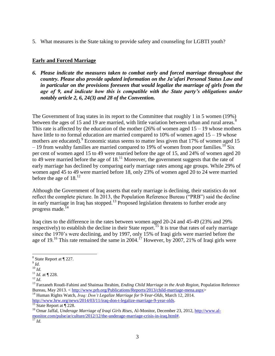5. What measures is the State taking to provide safety and counseling for LGBTI youth?

## **Early and Forced Marriage**

*6. Please indicate the measures taken to combat early and forced marriage throughout the country. Please also provide updated information on the Ja'afari Personal Status Law and in particular on the provisions foreseen that would legalize the marriage of girls from the*  age of 9, and indicate how this is compatible with the State party's obligations under *notably article 2, 6, 24(3) and 28 of the Convention.*

The Government of Iraq states in its report to the Committee that roughly 1 in 5 women (19%) between the ages of 15 and 19 are married, with little variation between urban and rural areas.<sup>8</sup> This rate is affected by the education of the mother (26% of women aged  $15 - 19$  whose mothers have little to no formal education are married compared to 10% of women aged  $15 - 19$  whose mothers are educated). <sup>9</sup> Economic status seems to matter less given that  $17\%$  of women aged 15 – 19 from wealthy families are married compared to 19% of women from poor families.<sup>10</sup> Six per cent of women aged 15 to 49 were married before the age of 15, and 24% of women aged 20 to 49 were married before the age of  $18<sup>11</sup>$  Moreover, the government suggests that the rate of early marriage has declined by comparing early marriage rates among age groups. While 29% of women aged 45 to 49 were married before 18, only 23% of women aged 20 to 24 were married before the age of  $18^{12}$ 

Although the Government of Iraq asserts that early marriage is declining, their statistics do not reflect the complete picture. In 2013, the Population Reference Bureau ("PRB") said the decline in early marriage in Iraq has stopped.<sup>13</sup> Proposed legislation threatens to further erode any progress made.<sup>14</sup>

Iraq cites to the difference in the rates between women aged 20-24 and 45-49 (23% and 29% respectively) to establish the decline in their State report.<sup>15</sup> It is true that rates of early marriage since the 1970's were declining, and by 1997, only 15% of Iraqi girls were married before the age of 19.<sup>16</sup> This rate remained the same in 2004.<sup>17</sup> However, by 2007, 21% of Iraqi girls were

 $\overline{a}$ 

<sup>14</sup> Human Rights Watch, *Iraq: Don't Legalize Marriage for 9-Year-Olds*, March 12, 2014. [http://www.hrw.org/news/2014/03/11/iraq-don-t-legalize-marriage-9-year-olds.](http://www.hrw.org/news/2014/03/11/iraq-don-t-legalize-marriage-9-year-olds)

 $8$  State Report at  $\P$  227.

<sup>9</sup> *Id*.

<sup>10</sup> *Id.*

<sup>11</sup> *Id.* at ¶ 228.

 $^{12}$  *Id.* 

<sup>13</sup> Farzaneh Roudi-Fahimi and Shaimaa Ibrahim, *Ending Child Marriage in the Arab Region,* Population Reference Bureau, May 2013. < [http://www.prb.org/Publications/Reports/2013/child-marriage-mena.aspx>](http://www.prb.org/Publications/Reports/2013/child-marriage-mena.aspx)

 $15$  State Report at  $\boxed{1228}$ .

<sup>16</sup> Omar Jaffal, *Underage Marriage of Iraqi Girls Rises*, Al-Monitor, December 23, 2012, [http://www.al](http://www.al-monitor.com/pulse/ar/culture/2012/12/the-underage-marriage-crisis-in-iraq.html)[monitor.com/pulse/ar/culture/2012/12/the-underage-marriage-crisis-in-iraq.html#.](http://www.al-monitor.com/pulse/ar/culture/2012/12/the-underage-marriage-crisis-in-iraq.html) <sup>17</sup> *Id.*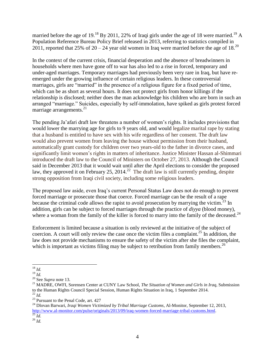married before the age of 19.<sup>18</sup> By 2011, 22% of Iraqi girls under the age of 18 were married.<sup>19</sup> A Population Reference Bureau Policy Brief released in 2013, referring to statistics compiled in 2011, reported that 25% of  $20 - 24$  year old women in Iraq were married before the age of 18.<sup>20</sup>

In the context of the current crisis, financial desperation and the absence of breadwinners in households where men have gone off to war has also led to a rise in forced, temporary and under-aged marriages. Temporary marriages had previously been very rare in Iraq, but have reemerged under the growing influence of certain religious leaders. In these controversial marriages, girls are "married" in the presence of a religious figure for a fixed period of time, which can be as short as several hours. It does not protect girls from honor killings if the relationship is disclosed; neither does the man acknowledge his children who are born in such an arranged "marriage." Suicides, especially by self-immolation, have spiked as girls protest forced marriage arrangements. $2<sup>1</sup>$ 

The pending Ja'afari draft law threatens a number of women's rights. It includes provisions that would lower the marrying age for girls to 9 years old, and would legalize marital rape by stating that a husband is entitled to have sex with his wife regardless of her consent. The draft law would also prevent women from leaving the house without permission from their husband, automatically grant custody for children over two years-old to the father in divorce cases, and significantly limit women's rights in matters of inheritance. Justice Minister Hassan al-Shimmari introduced the draft law to the Council of Ministers on October 27, 2013. Although the Council said in December 2013 that it would wait until after the April elections to consider the proposed law, they approved it on February 25, 2014.<sup>22</sup> The draft law is still currently pending, despite strong opposition from Iraqi civil society, including some religious leaders.

The proposed law aside, even Iraq's current Personal Status Law does not do enough to prevent forced marriage or prosecute those that coerce. Forced marriage can be the result of a rape because the criminal code allows the rapist to avoid prosecution by marrying the victim.<sup>23</sup> In addition, girls can be subject to forced marriages through the practice of *diyya* (blood money), where a woman from the family of the killer is forced to marry into the family of the deceased.<sup>24</sup>

Enforcement is limited because a situation is only reviewed at the initiative of the subject of coercion. A court will only review the case once the victim files a complaint.<sup>25</sup> In addition, the law does not provide mechanisms to ensure the safety of the victim after she files the complaint, which is important as victims filing may be subject to retribution from family members.<sup>26</sup>

l <sup>18</sup> *Id.*

<sup>19</sup> *Id.*

<sup>20</sup> See *Supra* note 13.

<sup>21</sup> MADRE, OWFI, Sorensen Center at CUNY Law School, *The Situation of Women and Girls in Iraq*, Submission to the Human Rights Council Special Session, Human Rights Situation in Iraq, 1 September 2014. <sup>22</sup> *Id.*

 $23$  Pursuant to the Penal Code, art. 427

<sup>24</sup> Dlovan Barwari, *Iraqi Women Victimized by Tribal Marriage Customs*, Al-Monitor, September 12, 2013, [http://www.al-monitor.com/pulse/originals/2013/09/iraq-women-forced-marriage-tribal-customs.html.](http://www.al-monitor.com/pulse/originals/2013/09/iraq-women-forced-marriage-tribal-customs.html)  <sup>25</sup> *Id.*

<sup>26</sup> *Id.*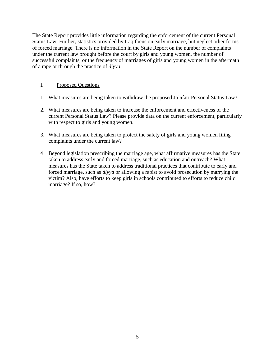The State Report provides little information regarding the enforcement of the current Personal Status Law. Further, statistics provided by Iraq focus on early marriage, but neglect other forms of forced marriage. There is no information in the State Report on the number of complaints under the current law brought before the court by girls and young women, the number of successful complaints, or the frequency of marriages of girls and young women in the aftermath of a rape or through the practice of *diyya*.

### I. Proposed Questions

- 1. What measures are being taken to withdraw the proposed Ja'afari Personal Status Law?
- 2. What measures are being taken to increase the enforcement and effectiveness of the current Personal Status Law? Please provide data on the current enforcement, particularly with respect to girls and young women.
- 3. What measures are being taken to protect the safety of girls and young women filing complaints under the current law?
- 4. Beyond legislation prescribing the marriage age, what affirmative measures has the State taken to address early and forced marriage, such as education and outreach? What measures has the State taken to address traditional practices that contribute to early and forced marriage, such as *diyya* or allowing a rapist to avoid prosecution by marrying the victim? Also, have efforts to keep girls in schools contributed to efforts to reduce child marriage? If so, how?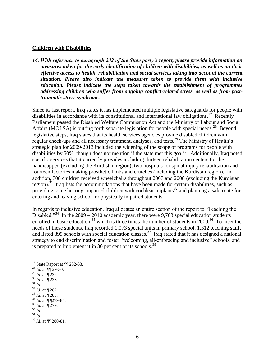#### **Children with Disabilities**

*14. With reference to paragraph 232 of the State party's report, please provide information on measures taken for the early identification of children with disabilities, as well as on their effective access to health, rehabilitation and social services taking into account the current situation. Please also indicate the measures taken to provide them with inclusive education. Please indicate the steps taken towards the establishment of programmes addressing children who suffer from ongoing conflict-related stress, as well as from posttraumatic stress syndrome.* 

Since its last report, Iraq states it has implemented multiple legislative safeguards for people with disabilities in accordance with its constitutional and international law obligations.<sup>27</sup> Recently Parliament passed the Disabled Welfare Commission Act and the Ministry of Labour and Social Affairs (MOLSA) is putting forth separate legislation for people with special needs.<sup>28</sup> Beyond legislative steps, Iraq states that its health services agencies provide disabled children with regular check-ups and all necessary treatment, analyses, and tests.<sup>29</sup> The Ministry of Health's strategic plan for 2009-2013 included the widening of the scope of programs for people with disabilities by 50%, though does not mention if the state met this goal<sup>30</sup>. Additionally, Iraq noted specific services that it currently provides including thirteen rehabilitation centers for the handicapped (excluding the Kurdistan region), two hospitals for spinal injury rehabilitation and fourteen factories making prosthetic limbs and crutches (including the Kurdistan region). In addition, 708 children received wheelchairs throughout 2007 and 2008 (excluding the Kurdistan region).<sup>31</sup> Iraq lists the accommodations that have been made for certain disabilities, such as providing some hearing-impaired children with cochlear implants<sup>32</sup> and planning a safe route for entering and leaving school for physically impaired students.<sup>33</sup>

In regards to inclusive education, Iraq allocates an entire section of the report to "Teaching the Disabled."<sup>34</sup> In the 2009 – 2010 academic year, there were 9,703 special education students enrolled in basic education,  $35$  which is three times the number of students in 2000.  $36$  To meet the needs of these students, Iraq recorded 1,073 special units in primary school, 1,312 teaching staff, and listed 899 schools with special education classes.<sup>37</sup> Iraq stated that it has designed a national strategy to end discrimination and foster "welcoming, all-embracing and inclusive" schools, and is prepared to implement it in 30 per cent of its schools.<sup>38</sup>

- <sup>29</sup> *Id*. at ¶ 232.
- <sup>30</sup> *Id.* at ¶ 233.
- <sup>31</sup> *Id.*
- <sup>32</sup> *Id*. at ¶ 282.
- <sup>33</sup> *Id*. at ¶ 283. <sup>34</sup> *Id.* at  $\overline{\P}$  1279-84.
- <sup>35</sup> *Id.* at ¶ 279.
- <sup>36</sup> *Id*.
- <sup>37</sup> *Id*.

 $\overline{a}$ <sup>27</sup> State Report at  $\P$  232-33.

<sup>28</sup> *Id.* at *¶*¶ 29-30.

<sup>38</sup> *Id*. at ¶¶ 280-81.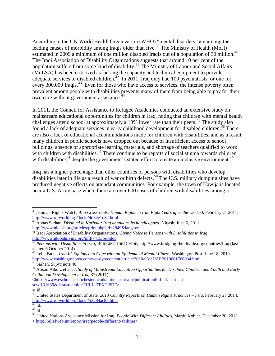According to the UN World Health Organization (WHO) "mental disorders" are among the leading causes of morbidity among Iraqis older than five.<sup>39</sup> The Ministry of Health (MoH) estimated in 2009 a minimum of one million disabled Iraqis out of a population of 30 million.<sup>40</sup> The Iraqi Association of Disability Organizations suggests that around 10 per cent of the population suffers from some kind of disability.<sup>41</sup> The Ministry of Labour and Social Affairs (MoLSA) has been criticized as lacking the capacity and technical equipment to provide adequate services to disabled children.<sup> $42$ </sup> In 2011, Iraq only had 100 psychiatrists, or one for every 300,000 Iraqis.<sup>43</sup> Even for those who have access to services, the intense poverty often prevalent among people with disabilities prevents many of them from being able to pay for their own care without government assistance. $^{44}$ 

In 2011, the Council for Assistance to Refugee Academics conducted an extensive study on mainstream educational opportunities for children in Iraq, noting that children with mental health challenges attend school at approximately a 10% lower rate than their peers.<sup>45</sup> The study also found a lack of adequate services in early childhood development for disabled children.<sup>46</sup> There are also a lack of educational accommodations made for children with disabilities, and as a result many children in public schools have dropped out because of insufficient access to school buildings, absence of appropriate learning materials, and shortage of teachers qualified to work with children with disabilities.<sup>47</sup> There continue to be reports of social stigma towards children with disabilities<sup>48</sup> despite the government's stated effort to create an inclusive environment.<sup>49</sup>

Iraq has a higher percentage than other countries of persons with disabilities who develop disabilities later in life as a result of war or birth defects.<sup>50</sup> The U.S. military dumping sites have produced negative effects on attendant communities. For example, the town of Hawija is located near a U.S. Army base where there are over 600 cases of children with disabilities among a

<sup>39</sup> ,Human Rights Watch, *At a Crossroads: Human Rights in Iraq Eight Years after the US-Led*, February 21 2011. <http://www.refworld.org/docid/4d64e1d82.html>

<sup>40</sup> Abbas Sarhan, *Disabled in Karbala: Iraq abandons its handicapped*, Niqash, June 6, 2011. <http://www.niqash.org/articles/print.php?id=2849&lang=en>

<sup>41</sup> Iraqi Association of Disability Organizations, *Giving Voice to Persons with Disabilities in Iraq*, <http://www.globalgiving.org/pfil/7415/projdoc>

<sup>&</sup>lt;sup>42</sup> *Persons with Disabilities in Iraq*, BRIDGING THE DIVIDE, http://www.bridging-the-divide.org/countries/Iraq (last visited 6 October 2014).

<sup>43</sup> Leila Fadel, *Iraq Ill-Equipped to Cope with an Epidemic of Mental Illness*, Washington Post, June 18, 2010. <http://www.washingtonpost.com/wp-dyn/content/article/2010/06/17/AR2010061706034.html>

<sup>44</sup> Sarhan, *Supra* note 40.

<sup>45</sup> Alison Alborz et al., *A Study of Mainstream Education Opportunities for Disabled Children and Youth and Early Childhood Development in Iraq* 37 (2011).

[<sup>&</sup>lt;https://www.escholar.manchester.ac.uk/api/datastream?publicationPid=uk-ac-man](https://www.escholar.manchester.ac.uk/api/datastream?publicationPid=uk-ac-man-scw:131680&datastreamId=FULL-TEXT.PDF)[scw:131680&datastreamId=FULL-TEXT.PDF>](https://www.escholar.manchester.ac.uk/api/datastream?publicationPid=uk-ac-man-scw:131680&datastreamId=FULL-TEXT.PDF)

<sup>46</sup> Id.

<sup>47</sup> United States Department of State, *2013 Country Reports on Human Rights Practices – Iraq,* February 27 2014. <http://www.refworld.org/docid/53284ac85.html>

 $48$  Id.

 $^{49}$  Id.

<sup>50</sup> United Nations Assistance Mission for Iraq, *People With Different Abilities*, Martin Kobler, December 20, 2012. < [http://reliefweb.int/report/iraq/people-different-abilities>](http://reliefweb.int/report/iraq/people-different-abilities)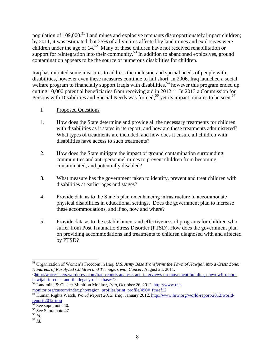population of 109,000.<sup>51</sup> Land mines and explosive remnants disproportionately impact children; by 2011, it was estimated that 25% of all victims affected by land mines and explosives were children under the age of  $14<sup>52</sup>$  Many of these children have not received rehabilitation or support for reintegration into their community.<sup>53</sup> In addition to abandoned explosives, ground contamination appears to be the source of numerous disabilities for children.

Iraq has initiated some measures to address the inclusion and special needs of people with disabilities, however even these measures continue to fall short. In 2006, Iraq launched a social welfare program to financially support Iraqis with disabilities,<sup>54</sup> however this program ended up cutting  $10,000$  potential beneficiaries from receiving aid in 2012.<sup>55</sup> In 2013 a Commission for Persons with Disabilities and Special Needs was formed,<sup>56</sup> yet its impact remains to be seen.<sup>57</sup>

## I. Proposed Questions

- 1. How does the State determine and provide all the necessary treatments for children with disabilities as it states in its report, and how are these treatments administered? What types of treatments are included, and how does it ensure all children with disabilities have access to such treatments?
- 2. How does the State mitigate the impact of ground contamination surrounding communities and anti-personnel mines to prevent children from becoming contaminated, and potentially disabled?
- 3. What measure has the government taken to identify, prevent and treat children with disabilities at earlier ages and stages?
- 4. Provide data as to the State's plan on enhancing infrastructure to accommodate physical disabilities in educational settings. Does the government plan to increase these accommodations, and if so, how and where?
- 5. Provide data as to the establishment and effectiveness of programs for children who suffer from Post Traumatic Stress Disorder (PTSD). How does the government plan on providing accommodations and treatments to children diagnosed with and affected by PTSD?

 $\langle$ http://warresisters.wordpress.com/iraq-reports-analysis-and-interviews-on-movement-building-now/owfi-report[hawijah-in-crisis-and-the-legacy-of-us-bases/>](http://warresisters.wordpress.com/iraq-reports-analysis-and-interviews-on-movement-building-now/owfi-report-hawijah-in-crisis-and-the-legacy-of-us-bases/)

<sup>52</sup> Landmine & Cluster Munition Monitor, *Iraq*, Octtober 26, 2012*.* [http://www.the](http://www.the-monitor.org/custom/index.php/region_profiles/print_profile/496#_ftnref12)[monitor.org/custom/index.php/region\\_profiles/print\\_profile/496#\\_ftnref12](http://www.the-monitor.org/custom/index.php/region_profiles/print_profile/496#_ftnref12)

- <sup>56</sup> *Id*.
- <sup>57</sup> *Id.*

 $\overline{a}$ <sup>51</sup> Organization of Women's Freedom in Iraq, *U.S. Army Base Transforms the Town of Hawijah into a Crisis Zone: Hundreds of Paralyzed Children and Teenagers with Cancer,* August 23, 2011.

<sup>53</sup> Human Rights Watch, *World Report 2012: Iraq*, January 2012. [http://www.hrw.org/world-report-2012/world](http://www.hrw.org/world-report-2012/world-report-2012-iraq)[report-2012-iraq](http://www.hrw.org/world-report-2012/world-report-2012-iraq)

<sup>&</sup>lt;sup>54</sup> See supra note 40.

<sup>&</sup>lt;sup>55</sup> See Supra note 47.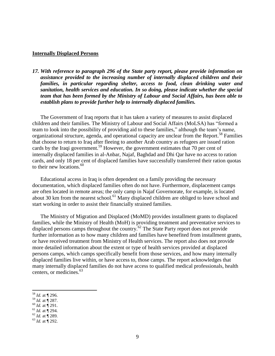#### **Internally Displaced Persons**

*17. With reference to paragraph 296 of the State party report, please provide information on assistance provided to the increasing number of internally displaced children and their families, in particular regarding shelter, access to food, clean drinking water and sanitation, health services and education. In so doing, please indicate whether the special team that has been formed by the Ministry of Labour and Social Affairs, has been able to establish plans to provide further help to internally displaced families.*

The Government of Iraq reports that it has taken a variety of measures to assist displaced children and their families. The Ministry of Labour and Social Affairs (MoLSA) has "formed a team to look into the possibility of providing aid to these families," although the team's name, organizational structure, agenda, and operational capacity are unclear from the Report.<sup>58</sup> Families that choose to return to Iraq after fleeing to another Arab country as refugees are issued ration cards by the Iraqi government.<sup>59</sup> However, the government estimates that 70 per cent of internally displaced families in al-Anbar, Najaf, Baghdad and Dhi Qar have no access to ration cards, and only 18 per cent of displaced families have successfully transferred their ration quotas to their new locations. $60$ 

Educational access in Iraq is often dependent on a family providing the necessary documentation, which displaced families often do not have. Furthermore, displacement camps are often located in remote areas; the only camp in Najaf Governorate, for example, is located about 30 km from the nearest school.<sup>61</sup> Many displaced children are obliged to leave school and start working in order to assist their financially strained families.

The Ministry of Migration and Displaced (MoMD) provides installment grants to displaced families, while the Ministry of Health (MoH) is providing treatment and preventative services to displaced persons camps throughout the country.<sup>62</sup> The State Party report does not provide further information as to how many children and families have benefited from installment grants, or have received treatment from Ministry of Health services. The report also does not provide more detailed information about the extent or type of health services provided at displaced persons camps, which camps specifically benefit from those services, and how many internally displaced families live within, or have access to, those camps. The report acknowledges that many internally displaced families do not have access to qualified medical professionals, health centers, or medicines.<sup>63</sup>

- <sup>59</sup> *Id.* at ¶ 287.
- <sup>60</sup> *Id.* at ¶ 291.
- <sup>61</sup> *Id.* at ¶ 294.
- $62$  *Id.* at  $\frac{1}{1}$  289.
- $^{63}$  *Id.* at  $\frac{1}{3}$  292.

<sup>58</sup> *Id.* at ¶ 296.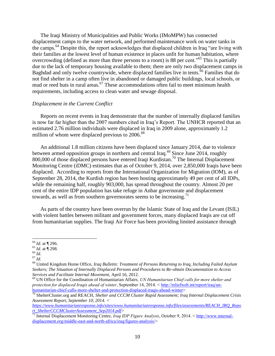The Iraqi Ministry of Municipalities and Public Works (IMoMPW) has connected displacement camps to the water network, and performed maintenance work on water tanks in the camps.<sup>64</sup> Despite this, the report acknowledges that displaced children in Iraq "are living with their families at the lowest level of human existence in places unfit for human habitation, where overcrowding (defined as more than three persons to a room) is 88 per cent.<sup>565</sup> This is partially due to the lack of temporary housing available to them; there are only two displacement camps in Baghdad and only twelve countrywide, where displaced families live in tents.<sup>66</sup> Families that do not find shelter in a camp often live in abandoned or damaged public buildings, local schools, or mud or reed huts in rural areas.<sup>67</sup> These accommodations often fail to meet minimum health requirements, including access to clean water and sewage disposal.

#### *Displacement in the Current Conflict*

Reports on recent events in Iraq demonstrate that the number of internally displaced families is now far far higher than the 2007 numbers cited in Iraq's Report. The UNHCR reported that an estimated 2.76 million individuals were displaced in Iraq in 2009 alone, approximately 1.2 million of whom were displaced previous to  $2006^{68}$ 

An additional 1.8 million citizens have been displaced since January 2014, due to violence between armed opposition groups in northern and central Iraq.<sup>69</sup> Since June 2014, roughly 800,000 of those displaced persons have entered Iraqi Kurdistan.<sup>70</sup> The Internal Displacement Monitoring Centre (iDMC) estimates that as of October 9, 2014, over 2,850,000 Iraqis have been displaced. According to reports from the International Organization for Migration (IOM), as of September 28, 2014, the Kurdish region has been hosting approximately 49 per cent of all IDPs, while the remaining half, roughly 903,000, has spread throughout the country. Almost 20 per cent of the entire IDP population has take refuge in Anbar governorate and displacement towards, as well as from southern governorates seems to be increasing.<sup>71</sup>

As parts of the country have been overrun by the Islamic State of Iraq and the Levant (ISIL) with violent battles between militant and government forces, many displaced Iraqis are cut off from humanitarian supplies. The Iraqi Air Force has been providing limited assistance through

 $\overline{a}$ 

*[https://www.humanitarianresponse.info/sites/www.humanitarianresponse.info/files/assessments/REACH\\_IRQ\\_Repo](https://www.humanitarianresponse.info/sites/www.humanitarianresponse.info/files/assessments/REACH_IRQ_Report_ShelterCCCMClusterAssessment_Sep2014.pdf) [rt\\_ShelterCCCMClusterAssessment\\_Sep2014.pdf>](https://www.humanitarianresponse.info/sites/www.humanitarianresponse.info/files/assessments/REACH_IRQ_Report_ShelterCCCMClusterAssessment_Sep2014.pdf)* 

<sup>64</sup> *Id.* at ¶ 296.

<sup>65</sup> *Id.* at ¶ 298.

<sup>66</sup> *Id.*  $^{67}$  *Id.* 

<sup>68</sup> United Kingdom Home Office, *Iraq Bulletin: Treatment of Persons Returning to Iraq, Including Failed Asylum Seekers; The Situation of Internally Displaced Persons and Procedures to Re-obtain Documentation to Access Services and Facilitate Internal Movement,* April 16, 2012.

<sup>69</sup> UN Office for the Coordination of Humanitarian Affairs*, UN Humanitarian Chief calls for more shelter and protection for displaced Iraqis ahead of winter*, September 14, 2014. < [http://reliefweb.int/report/iraq/un](http://reliefweb.int/report/iraq/un-humanitarian-chief-calls-more-shelter-and-protection-displaced-iraqis-ahead-winter)[humanitarian-chief-calls-more-shelter-and-protection-displaced-iraqis-ahead-winter>](http://reliefweb.int/report/iraq/un-humanitarian-chief-calls-more-shelter-and-protection-displaced-iraqis-ahead-winter)

<sup>70</sup> ShelterCluster.org and REACH, *Shelter and CCCM Cluster Rapid Assessment; Iraq Internal Displacement Crisis Assessment Report, September 10, 2014. <*

<sup>71</sup> Internal Displacement Monitoring Centre, *Iraq IDP Figure Analysis*, October 9, 2014. < [http://www.internal](http://www.internal-displacement.org/middle-east-and-north-africa/iraq/figures-analysis/)[displacement.org/middle-east-and-north-africa/iraq/figures-analysis/>](http://www.internal-displacement.org/middle-east-and-north-africa/iraq/figures-analysis/)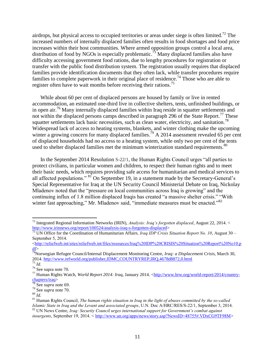airdrops, but physical access to occupied territories or areas under siege is often limited.<sup>72</sup> The increased numbers of internally displaced families often results in food shortages and food price increases within their host communities. Where armed opposition groups control a local area, distribution of food by NGOs is especially problematic.<sup>73</sup> Many displaced families also have difficulty accessing government food rations, due to lengthy procedures for registration or transfer with the public food distribution system. The registration usually requires that displaced families provide identification documents that they often lack, while transfer procedures require families to complete paperwork in their original place of residence.<sup>74</sup> Those who are able to register often have to wait months before receiving their rations.<sup>75</sup>

While about 60 per cent of displaced persons are housed by family or live in rented accommodation, an estimated one-third live in collective shelters, tents, unfinished buildings, or in open air.<sup>76</sup> Many internally displaced families within Iraq reside in squatter settlements and not within the displaced persons camps described in paragraph 296 of the State Report.<sup>77</sup> These squatter settlements lack basic necessities, such as clean water, electricity, and sanitation.<sup>78</sup> Widespread lack of access to heating systems, blankets, and winter clothing make the upcoming winter a growing concern for many displaced families.<sup>79</sup> A 2014 assessment revealed 65 per cent of displaced households had no access to a heating system, while only two per cent of the tents used to shelter displaced families met the minimum winterization standard requirements.<sup>80</sup>

In the September 2014 Resolution S-22/1, the Human Rights Council urges "all parties to protect civilians, in particular women and children, to respect their human rights and to meet their basic needs, which requires providing safe access for humanitarian and medical services to all affected populations." <sup>81</sup> On September 19, in a statement made by the Secretary-General's Special Representative for Iraq at the UN Security Council Ministerial Debate on Iraq, Nickolay Mladenov noted that the "pressure on local communities across Iraq is growing" and the continuing influx of 1.8 million displaced Iraqis has created "a massive shelter crisis." "With winter fast approaching," Mr. Mladenov said, "immediate measures must be enacted."<sup>82</sup>

l <sup>72</sup> Integrated Regional Information Networks (IRIN), *Analysis: Iraq's forgotten displaced*, August 22, 2014. < [http://www.irinnews.org/report/100524/analysis-iraq-s-forgotten-displaced>](http://www.irinnews.org/report/100524/analysis-iraq-s-forgotten-displaced)<br>
73 UN Office S. Contract Contract Contract Contract Contract Contract Contract Contract Contract Contract Contract Contract Contract Contract Cont

<sup>73</sup> UN Office for the Coordination of Humanitarian Affairs*, Iraq IDP Crisis Situation Report No. 10*, August 30 – September 5, 2014.

 $\text{K}$ ttp://reliefweb.int/sites/reliefweb.int/files/resources/Iraq%20IDP%20CRISIS%20Situation%20Report%20No10.p  $df$ 

<sup>74</sup>Norwegian Refugee Council/Internal Displacement Monitoring Centre, *Iraq: a Displacement Crisis,* March 30, 2014.<http://www.refworld.org/publisher,IDMC,COUNTRYREP,IRQ,4678d8872,0.html>

<sup>75</sup> *Id.*

<sup>76</sup> See supra note 70.

<sup>&</sup>lt;sup>77</sup> Human Rights Watch, *World Report 2014: Iraq*, January 2014. [<http://www.hrw.org/world-report/2014/country](http://www.hrw.org/world-report/2014/country-chapters/iraq)[chapters/iraq>](http://www.hrw.org/world-report/2014/country-chapters/iraq)

<sup>78</sup> See *supra* note 69.

<sup>79</sup> See *supra* note 70.

<sup>80</sup> *Id.*

<sup>81</sup> Human Rights Council, *The human rights situation in Iraq in the light of abuses committed by the so-called Islamic State in Iraq and the Levant and associated groups*, U.N. Doc A/HRC/RES/S-22/1, September 3, 2014. <sup>82</sup> UN News Centre, *Iraq: Security Council urges international support for Government's combat against* 

*insurgents*, September 19, 2014. < [http://www.un.org/apps/news/story.asp?NewsID=48755#.VDxCG9TF98M>](http://www.un.org/apps/news/story.asp?NewsID=48755#.VDxCG9TF98M)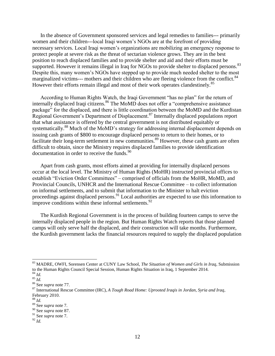In the absence of Government sponsored services and legal remedies to families--- primarily women and their children---local Iraqi women's NGOs are at the forefront of providing necessary services. Local Iraqi women's organizations are mobilizing an emergency response to protect people at severe risk as the threat of sectarian violence grows. They are in the best position to reach displaced families and to provide shelter and aid and their efforts must be supported. However it remains illegal in Iraq for NGOs to provide shelter to displaced persons.<sup>83</sup> Despite this, many women's NGOs have stepped up to provide much needed shelter to the most marginalized victims--- mothers and their children who are fleeing violence from the conflict.<sup>84</sup> However their efforts remain illegal and most of their work operates clandestinely.<sup>85</sup>

According to Human Rights Watch, the Iraqi Government "has no plan" for the return of internally displaced Iraqi citizens.<sup>86</sup> The MoMD does not offer a "comprehensive assistance package" for the displaced, and there is little coordination between the MoMD and the Kurdistan Regional Government's Department of Displacement.<sup>87</sup> Internally displaced populations report that what assistance is offered by the central government is not distributed equitably or systematically.<sup>88</sup> Much of the MoMD's strategy for addressing internal displacement depends on issuing cash grants of \$800 to encourage displaced persons to return to their homes, or to facilitate their long-term settlement in new communities.<sup>89</sup> However, these cash grants are often difficult to obtain, since the Ministry requires displaced families to provide identification documentation in order to receive the funds.<sup>90</sup>

Apart from cash grants, most efforts aimed at providing for internally displaced persons occur at the local level. The Ministry of Human Rights (MoHR) instructed provincial offices to establish "Eviction Order Committees" – comprised of officials from the MoHR, MoMD, and Provincial Councils, UNHCR and the International Rescue Committee – to collect information on informal settlements, and to submit that information to the Minister to halt eviction proceedings against displaced persons.<sup>91</sup> Local authorities are expected to use this information to improve conditions within these informal settlements. $92$ 

The Kurdish Regional Government is in the process of building fourteen camps to serve the internally displaced people in the region. But Human Rights Watch reports that those planned camps will only serve half the displaced, and their construction will take months. Furthermore, the Kurdish government lacks the financial resources required to supply the displaced population

<sup>83</sup> MADRE, OWFI, Sorensen Center at CUNY Law School, *The Situation of Women and Girls in Iraq*, Submission to the Human Rights Council Special Session, Human Rights Situation in Iraq, 1 September 2014.

<sup>84</sup> *Id.*

 $rac{1}{85}$  *Id.* 

<sup>86</sup> See *supra* note 77.

<sup>87</sup> International Rescue Committee (IRC), *A Tough Road Home: Uprooted Iraqis in Jordan, Syria and Iraq*, February 2010.

<sup>88</sup> *Id.*

<sup>89</sup> See *supra* note 7.

<sup>90</sup> See *supra* note 87.

<sup>91</sup> See *supra* note 7.

<sup>92</sup> *Id.*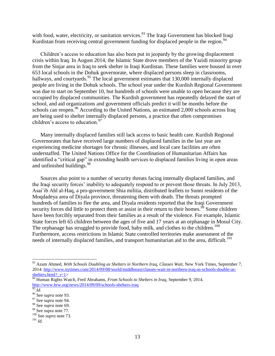with food, water, electricity, or sanitation services.<sup>93</sup> The Iraqi Government has blocked Iraqi Kurdistan from receiving central government funding for displaced people in the region.<sup>94</sup>

Children's access to education has also been put in jeopardy by the growing displacement crisis within Iraq. In August 2014, the Islamic State drove members of the Yazidi minority group from the Sinjar area in Iraq to seek shelter in Iraqi Kurdistan. These families were housed in over 653 local schools in the Dohuk governorate, where displaced persons sleep in classrooms, hallways, and courtyards.<sup>95</sup> The local government estimates that 130,000 internally displaced people are living in the Dohuk schools. The school year under the Kurdish Regional Government was due to start on September 10, but hundreds of schools were unable to open because they are occupied by displaced communities. The Kurdish government has repeatedly delayed the start of school, and aid organizations and government officials predict it will be months before the schools can reopen.<sup>96</sup> According to the United Nations, an estimated 2,000 schools across Iraq are being used to shelter internally displaced persons, a practice that often compromises children's access to education.<sup>97</sup>

Many internally displaced families still lack access to basic health care. Kurdish Regional Governorates that have received large numbers of displaced families in the last year are experiencing medicine shortages for chronic illnesses, and local care facilities are often understaffed. The United Nations Office for the Coordination of Humanitarian Affairs has identified a "critical gap" in extending health services to displaced families living in open areas and unfinished buildings.<sup>98</sup>

Sources also point to a number of security threats facing internally displaced families, and the Iraqi security forces' inability to adequately respond to or prevent those threats. In July 2013, Asai'ib Ahl al-Haq, a pro-government Shia militia, distributed leaflets to Sunni residents of the Moqdadeya area of Diyala province, threatening them with death. The threats prompted hundreds of families to flee the area, and Diyala residents reported that the Iraqi Government security forces did little to protect them or assist in their return to their homes. $\frac{99}{2}$  Some children have been forcibly separated from their families as a result of the violence. For example, Islamic State forces left 65 children between the ages of five and 17 years at an orphanage in Mosul City. The orphanage has struggled to provide food, baby milk, and clothes to the children.<sup>100</sup> Furthermore, access restrictions in Islamic State controlled territories make assessment of the needs of internally displaced families, and transport humanitarian aid to the area, difficult.<sup>101</sup>

<sup>93</sup> Azam Ahmed, *With Schools Doubling as Shelters in Northern Iraq, Classes Wait*, New York Times, September 7, 2014. [http://www.nytimes.com/2014/09/08/world/middleeast/classes-wait-in-northern-iraq-as-schools-double-as](http://www.nytimes.com/2014/09/08/world/middleeast/classes-wait-in-northern-iraq-as-schools-double-as-shelters.html?_r=1)shelters.html? r=1>

<sup>94</sup> Human Rights Watch, Fred Abrahams, *From Schools to Shelters in Iraq*, September 9, 2014. <http://www.hrw.org/news/2014/09/09/schools-shelters-iraq>

 $\overline{\frac{95}{1}}$ *Id.* 

<sup>96</sup> See *supra* note 93.

<sup>97</sup> See *supra* note 94.

<sup>98</sup> See *supra* note 69.

<sup>&</sup>lt;sup>99</sup> See supra note 77.

<sup>100</sup> See *supra* note 73.

<sup>101</sup> *Id.*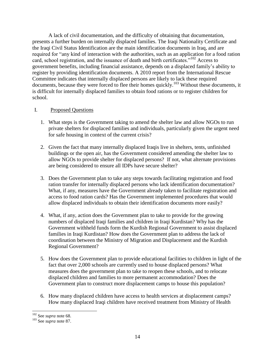A lack of civil documentation, and the difficulty of obtaining that documentation, presents a further burden on internally displaced families. The Iraqi Nationality Certificate and the Iraqi Civil Status Identification are the main identification documents in Iraq, and are required for "any kind of interaction with the authorities, such as an application for a food ration card, school registration, and the issuance of death and birth certificates."<sup>102</sup> Access to government benefits, including financial assistance, depends on a displaced family's ability to register by providing identification documents. A 2010 report from the International Rescue Committee indicates that internally displaced persons are likely to lack these required documents, because they were forced to flee their homes quickly.<sup>103</sup> Without these documents, it is difficult for internally displaced families to obtain food rations or to register children for school.

#### I. Proposed Questions

- 1. What steps is the Government taking to amend the shelter law and allow NGOs to run private shelters for displaced families and individuals, particularly given the urgent need for safe housing in context of the current crisis?
- 2. Given the fact that many internally displaced Iraqis live in shelters, tents, unfinished buildings or the open air, has the Government considered amending the shelter law to allow NGOs to provide shelter for displaced persons? If not, what alternate provisions are being considered to ensure all IDPs have secure shelter?
- 3. Does the Government plan to take any steps towards facilitating registration and food ration transfer for internally displaced persons who lack identification documentation? What, if any, measures have the Government already taken to facilitate registration and access to food ration cards? Has the Government implemented procedures that would allow displaced individuals to obtain their identification documents more easily?
- 4. What, if any, action does the Government plan to take to provide for the growing numbers of displaced Iraqi families and children in Iraqi Kurdistan? Why has the Government withheld funds form the Kurdish Regional Government to assist displaced families in Iraqi Kurdistan? How does the Government plan to address the lack of coordination between the Ministry of Migration and Displacement and the Kurdish Regional Government?
- 5. How does the Government plan to provide educational facilities to children in light of the fact that over 2,000 schools are currently used to house displaced persons? What measures does the government plan to take to reopen these schools, and to relocate displaced children and families to more permanent accommodation? Does the Government plan to construct more displacement camps to house this population?
- 6. How many displaced children have access to health services at displacement camps? How many displaced Iraqi children have received treatment from Ministry of Health

l

<sup>102</sup> See *supra* note 68.

<sup>103</sup> See *supra* note 87.